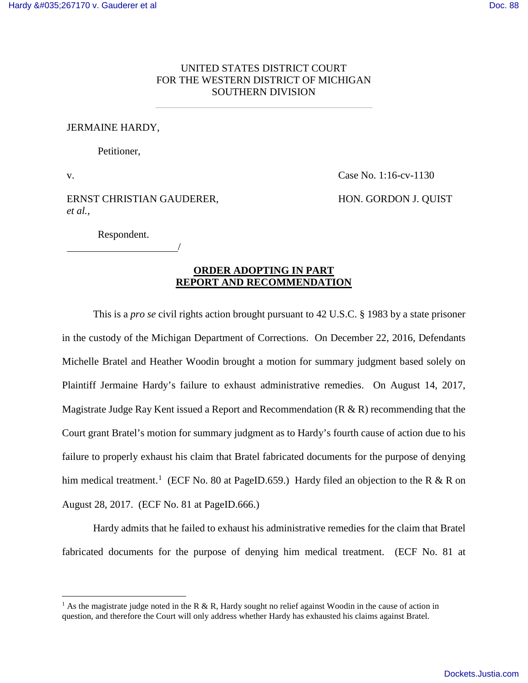## UNITED STATES DISTRICT COURT FOR THE WESTERN DISTRICT OF MICHIGAN SOUTHERN DIVISION

## JERMAINE HARDY,

Petitioner,

v.

<u>.</u>

Case No. 1:16-cv-1130

## ERNST CHRISTIAN GAUDERER, *et al.*,

HON. GORDON J. QUIST

Respondent. /

## **ORDER ADOPTING IN PART REPORT AND RECOMMENDATION**

This is a *pro se* civil rights action brought pursuant to 42 U.S.C. § 1983 by a state prisoner in the custody of the Michigan Department of Corrections. On December 22, 2016, Defendants Michelle Bratel and Heather Woodin brought a motion for summary judgment based solely on Plaintiff Jermaine Hardy's failure to exhaust administrative remedies. On August 14, 2017, Magistrate Judge Ray Kent issued a Report and Recommendation (R & R) recommending that the Court grant Bratel's motion for summary judgment as to Hardy's fourth cause of action due to his failure to properly exhaust his claim that Bratel fabricated documents for the purpose of denying him medical treatment.<sup>[1](#page-0-0)</sup> (ECF No. 80 at PageID.659.) Hardy filed an objection to the R & R on August 28, 2017. (ECF No. 81 at PageID.666.)

Hardy admits that he failed to exhaust his administrative remedies for the claim that Bratel fabricated documents for the purpose of denying him medical treatment. (ECF No. 81 at

<span id="page-0-0"></span><sup>&</sup>lt;sup>1</sup> As the magistrate judge noted in the R & R, Hardy sought no relief against Woodin in the cause of action in question, and therefore the Court will only address whether Hardy has exhausted his claims against Bratel.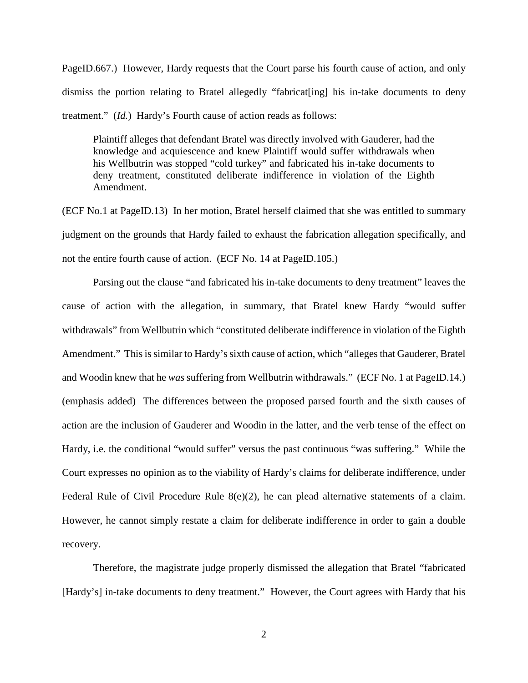PageID.667.) However, Hardy requests that the Court parse his fourth cause of action, and only dismiss the portion relating to Bratel allegedly "fabricat[ing] his in-take documents to deny treatment." (*Id.*) Hardy's Fourth cause of action reads as follows:

Plaintiff alleges that defendant Bratel was directly involved with Gauderer, had the knowledge and acquiescence and knew Plaintiff would suffer withdrawals when his Wellbutrin was stopped "cold turkey" and fabricated his in-take documents to deny treatment, constituted deliberate indifference in violation of the Eighth Amendment.

(ECF No.1 at PageID.13) In her motion, Bratel herself claimed that she was entitled to summary judgment on the grounds that Hardy failed to exhaust the fabrication allegation specifically, and not the entire fourth cause of action. (ECF No. 14 at PageID.105.)

Parsing out the clause "and fabricated his in-take documents to deny treatment" leaves the cause of action with the allegation, in summary, that Bratel knew Hardy "would suffer withdrawals" from Wellbutrin which "constituted deliberate indifference in violation of the Eighth Amendment." This is similar to Hardy's sixth cause of action, which "alleges that Gauderer, Bratel and Woodin knew that he *was* suffering from Wellbutrin withdrawals." (ECF No. 1 at PageID.14.) (emphasis added) The differences between the proposed parsed fourth and the sixth causes of action are the inclusion of Gauderer and Woodin in the latter, and the verb tense of the effect on Hardy, i.e. the conditional "would suffer" versus the past continuous "was suffering." While the Court expresses no opinion as to the viability of Hardy's claims for deliberate indifference, under Federal Rule of Civil Procedure Rule  $8(e)(2)$ , he can plead alternative statements of a claim. However, he cannot simply restate a claim for deliberate indifference in order to gain a double recovery.

Therefore, the magistrate judge properly dismissed the allegation that Bratel "fabricated [Hardy's] in-take documents to deny treatment." However, the Court agrees with Hardy that his